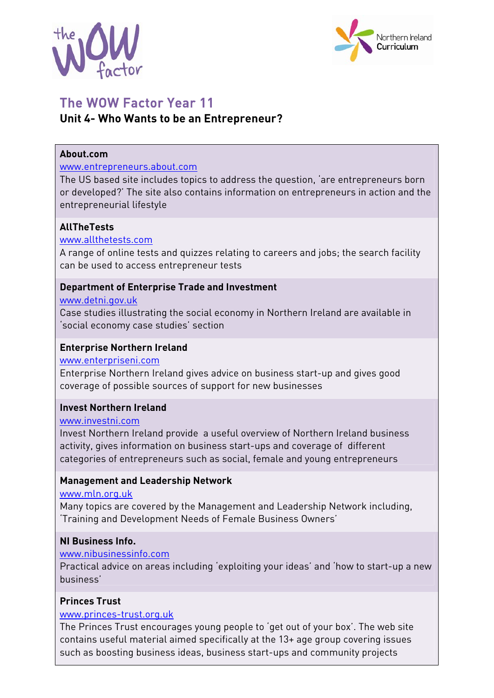



# The WOW Factor Year 11 **Unit 4- Who Wants to be an Entrepreneur?**

## **About.com**

#### www.entrepreneurs.about.com

The US based site includes topics to address the question, 'are entrepreneurs born or developed?' The site also contains information on entrepreneurs in action and the entrepreneurial lifestyle

## **AllTheTests**

#### www.allthetests.com

A range of online tests and quizzes relating to careers and jobs; the search facility can be used to access entrepreneur tests

## **Department of Enterprise Trade and Investment**

#### www.detni.gov.uk

Case studies illustrating the social economy in Northern Ireland are available in 'social economy case studies' section

## **Enterprise Northern Ireland**

#### www.enterpriseni.com

Enterprise Northern Ireland gives advice on business start-up and gives good coverage of possible sources of support for new businesses

#### **Invest Northern Ireland**

#### www.investni.com

Invest Northern Ireland provide a useful overview of Northern Ireland business activity, gives information on business start-ups and coverage of different categories of entrepreneurs such as social, female and young entrepreneurs

## **Management and Leadership Network**

#### www.mln.org.uk

Many topics are covered by the Management and Leadership Network including, 'Training and Development Needs of Female Business Owners'

## **NI Business Info.**

#### www.nibusinessinfo.com

Practical advice on areas including 'exploiting your ideas' and 'how to start-up a new business'

## **Princes Trust**

## www.princes-trust.org.uk

The Princes Trust encourages young people to 'get out of your box'. The web site contains useful material aimed specifically at the 13+ age group covering issues such as boosting business ideas, business start-ups and community projects